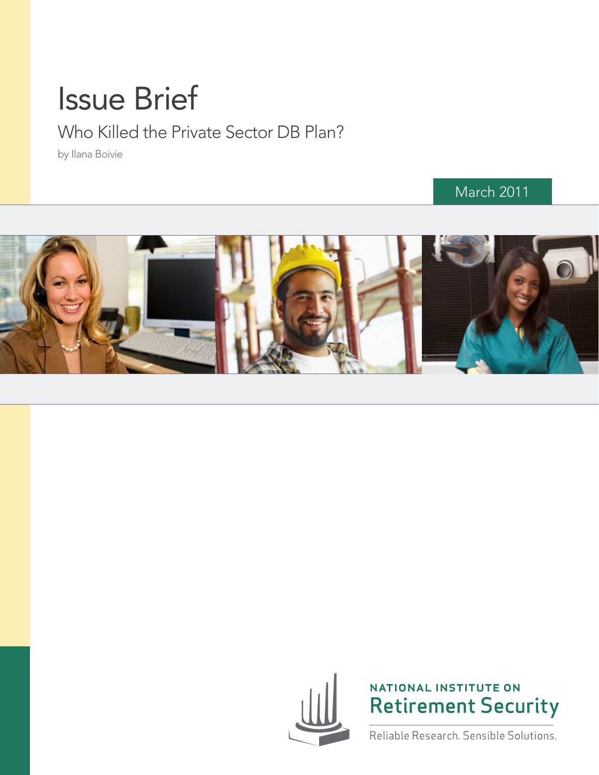# Issue Brief

Who Killed the Private Sector DB Plan?

by Ilana Boivie

# March 2011





NATIONAL INSTITUTE ON **Retirement Security** 

Reliable Research. Sensible Solutions.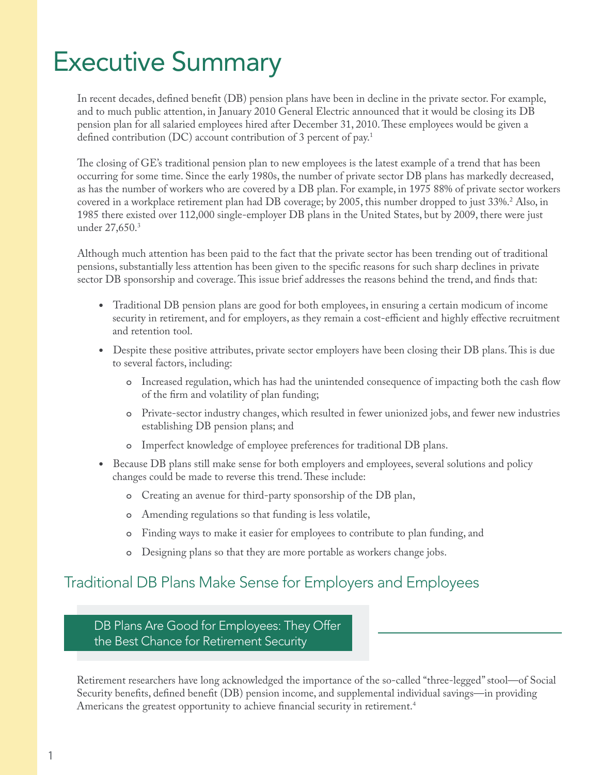# Executive Summary

In recent decades, defined benefit (DB) pension plans have been in decline in the private sector. For example, and to much public attention, in January 2010 General Electric announced that it would be closing its DB pension plan for all salaried employees hired after December 31, 2010. These employees would be given a defined contribution (DC) account contribution of 3 percent of pay.<sup>1</sup>

The closing of GE's traditional pension plan to new employees is the latest example of a trend that has been occurring for some time. Since the early 1980s, the number of private sector DB plans has markedly decreased, as has the number of workers who are covered by a DB plan. For example, in 1975 88% of private sector workers covered in a workplace retirement plan had DB coverage; by 2005, this number dropped to just 33%[.2](#page-11-1) Also, in 1985 there existed over 112,000 single-employer DB plans in the United States, but by 2009, there were just under 27,650[.3](#page-11-2)

Although much attention has been paid to the fact that the private sector has been trending out of traditional pensions, substantially less attention has been given to the specific reasons for such sharp declines in private sector DB sponsorship and coverage. This issue brief addresses the reasons behind the trend, and finds that:

- Traditional DB pension plans are good for both employees, in ensuring a certain modicum of income security in retirement, and for employers, as they remain a cost-efficient and highly effective recruitment and retention tool.
- Despite these positive attributes, private sector employers have been closing their DB plans. This is due to several factors, including:
	- ๐ Increased regulation, which has had the unintended consequence of impacting both the cash flow of the firm and volatility of plan funding;
	- ๐ Private-sector industry changes, which resulted in fewer unionized jobs, and fewer new industries establishing DB pension plans; and
	- ๐ Imperfect knowledge of employee preferences for traditional DB plans.
- Because DB plans still make sense for both employers and employees, several solutions and policy changes could be made to reverse this trend. These include:
	- ๐ Creating an avenue for third-party sponsorship of the DB plan,
	- ๐ Amending regulations so that funding is less volatile,
	- ๐ Finding ways to make it easier for employees to contribute to plan funding, and
	- ๐ Designing plans so that they are more portable as workers change jobs.

# Traditional DB Plans Make Sense for Employers and Employees

DB Plans Are Good for Employees: They Offer the Best Chance for Retirement Security

Retirement researchers have long acknowledged the importance of the so-called "three-legged" stool—of Social Security benefits, defined benefit (DB) pension income, and supplemental individual savings—in providing Americans the greatest opportunity to achieve financial security in retirement.[4](#page-11-3)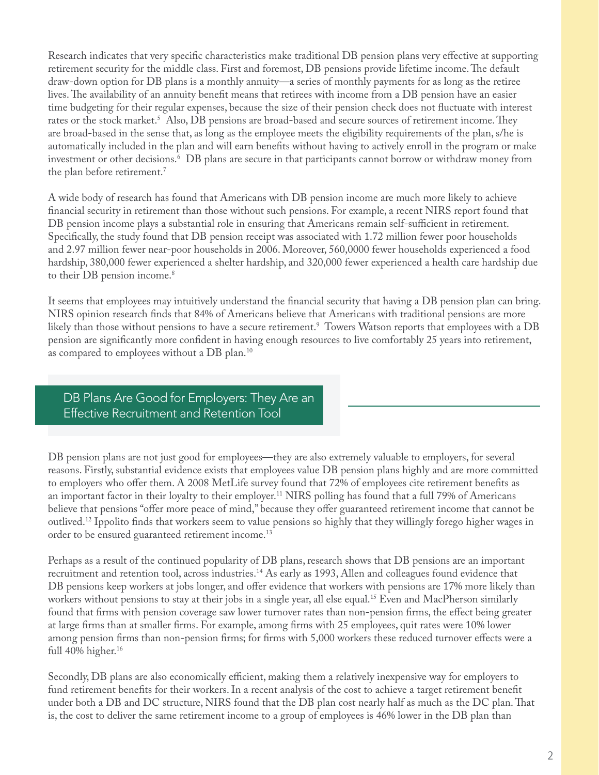Research indicates that very specific characteristics make traditional DB pension plans very effective at supporting retirement security for the middle class. First and foremost, DB pensions provide lifetime income. The default draw-down option for DB plans is a monthly annuity—a series of monthly payments for as long as the retiree lives. The availability of an annuity benefit means that retirees with income from a DB pension have an easier time budgeting for their regular expenses, because the size of their pension check does not fluctuate with interest rates or the stock market.<sup>[5](#page-11-4)</sup> Also, DB pensions are broad-based and secure sources of retirement income. They are broad-based in the sense that, as long as the employee meets the eligibility requirements of the plan, s/he is automatically included in the plan and will earn benefits without having to actively enroll in the program or make investment or other decisions[.6](#page-11-5) DB plans are secure in that participants cannot borrow or withdraw money from the plan before retirement.<sup>[7](#page-11-6)</sup>

A wide body of research has found that Americans with DB pension income are much more likely to achieve financial security in retirement than those without such pensions. For example, a recent NIRS report found that DB pension income plays a substantial role in ensuring that Americans remain self-sufficient in retirement. Specifically, the study found that DB pension receipt was associated with 1.72 million fewer poor households and 2.97 million fewer near-poor households in 2006. Moreover, 560,0000 fewer households experienced a food hardship, 380,000 fewer experienced a shelter hardship, and 320,000 fewer experienced a health care hardship due to their DB pension income.<sup>8</sup>

It seems that employees may intuitively understand the financial security that having a DB pension plan can bring. NIRS opinion research finds that 84% of Americans believe that Americans with traditional pensions are more likely than those without pensions to have a secure retirement[.9](#page-11-8) Towers Watson reports that employees with a DB pension are significantly more confident in having enough resources to live comfortably 25 years into retirement, as compared to employees without a DB plan.[10](#page-11-9)

DB Plans Are Good for Employers: They Are an Effective Recruitment and Retention Tool

DB pension plans are not just good for employees—they are also extremely valuable to employers, for several reasons. Firstly, substantial evidence exists that employees value DB pension plans highly and are more committed to employers who offer them. A 2008 MetLife survey found that 72% of employees cite retirement benefits as an important factor in their loyalty to their employer.<sup>11</sup> NIRS polling has found that a full 79% of Americans believe that pensions "offer more peace of mind," because they offer guaranteed retirement income that cannot be outlived[.12](#page-11-11) Ippolito finds that workers seem to value pensions so highly that they willingly forego higher wages in order to be ensured guaranteed retirement income.[13](#page-11-12)

Perhaps as a result of the continued popularity of DB plans, research shows that DB pensions are an important recruitment and retention tool, across industries.<sup>14</sup> As early as 1993, Allen and colleagues found evidence that DB pensions keep workers at jobs longer, and offer evidence that workers with pensions are 17% more likely than workers without pensions to stay at their jobs in a single year, all else equal.<sup>[15](#page-11-14)</sup> Even and MacPherson similarly found that firms with pension coverage saw lower turnover rates than non-pension firms, the effect being greater at large firms than at smaller firms. For example, among firms with 25 employees, quit rates were 10% lower among pension firms than non-pension firms; for firms with 5,000 workers these reduced turnover effects were a full 40% higher.<sup>16</sup>

Secondly, DB plans are also economically efficient, making them a relatively inexpensive way for employers to fund retirement benefits for their workers. In a recent analysis of the cost to achieve a target retirement benefit under both a DB and DC structure, NIRS found that the DB plan cost nearly half as much as the DC plan. That is, the cost to deliver the same retirement income to a group of employees is 46% lower in the DB plan than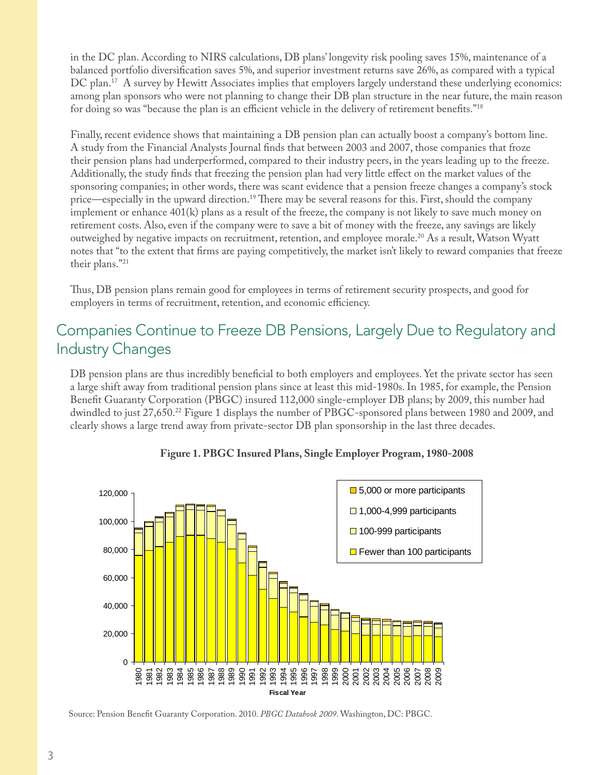in the DC plan. According to NIRS calculations, DB plans' longevity risk pooling saves 15%, maintenance of a balanced portfolio diversification saves 5%, and superior investment returns save 26%, as compared with a typical DC plan.<sup>[17](#page-11-16)</sup> A survey by Hewitt Associates implies that employers largely understand these underlying economics: among plan sponsors who were not planning to change their DB plan structure in the near future, the main reason for doing so was "because the plan is an efficient vehicle in the delivery of retirement benefits."[18](#page-11-17)

Finally, recent evidence shows that maintaining a DB pension plan can actually boost a company's bottom line. A study from the Financial Analysts Journal finds that between 2003 and 2007, those companies that froze their pension plans had underperformed, compared to their industry peers, in the years leading up to the freeze. Additionally, the study finds that freezing the pension plan had very little effect on the market values of the sponsoring companies; in other words, there was scant evidence that a pension freeze changes a company's stock price—especially in the upward direction[.19](#page-11-18) There may be several reasons for this. First, should the company implement or enhance 401(k) plans as a result of the freeze, the company is not likely to save much money on retirement costs. Also, even if the company were to save a bit of money with the freeze, any savings are likely outweighed by negative impacts on recruitment, retention, and employee morale.[20](#page-11-19) As a result, Watson Wyatt notes that "to the extent that firms are paying competitively, the market isn't likely to reward companies that freeze their plans.["21](#page-11-20)

Thus, DB pension plans remain good for employees in terms of retirement security prospects, and good for employers in terms of recruitment, retention, and economic efficiency.

# Companies Continue to Freeze DB Pensions, Largely Due to Regulatory and Industry Changes

DB pension plans are thus incredibly beneficial to both employers and employees. Yet the private sector has seen a large shift away from traditional pension plans since at least this mid-1980s. In 1985, for example, the Pension Benefit Guaranty Corporation (PBGC) insured 112,000 single-employer DB plans; by 2009, this number had dwindled to just 27,650[.22](#page-11-21) Figure 1 displays the number of PBGC-sponsored plans between 1980 and 2009, and clearly shows a large trend away from private-sector DB plan sponsorship in the last three decades.



#### **Figure 1. PBGC Insured Plans, Single Employer Program, 1980-2008**

Source: Pension Benefit Guaranty Corporation. 2010. *PBGC Databook 2009*. Washington, DC: PBGC.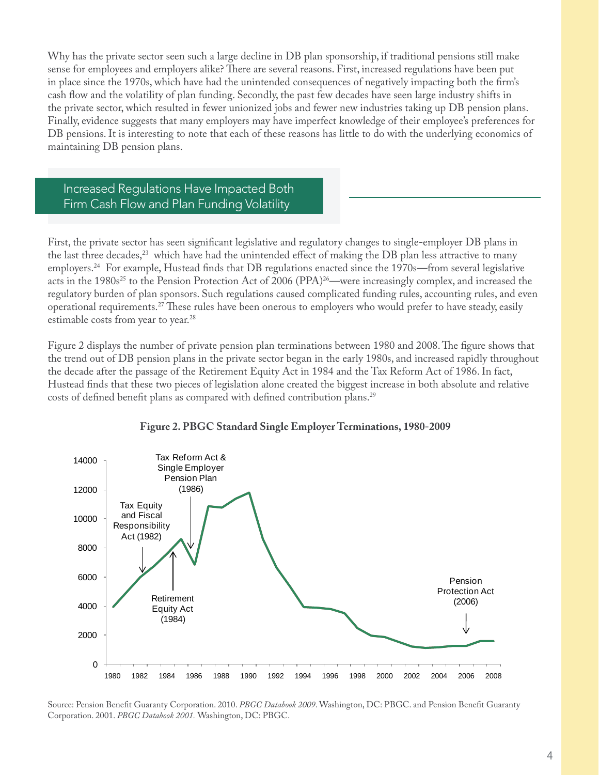Why has the private sector seen such a large decline in DB plan sponsorship, if traditional pensions still make sense for employees and employers alike? There are several reasons. First, increased regulations have been put in place since the 1970s, which have had the unintended consequences of negatively impacting both the firm's cash flow and the volatility of plan funding. Secondly, the past few decades have seen large industry shifts in the private sector, which resulted in fewer unionized jobs and fewer new industries taking up DB pension plans. Finally, evidence suggests that many employers may have imperfect knowledge of their employee's preferences for DB pensions. It is interesting to note that each of these reasons has little to do with the underlying economics of maintaining DB pension plans.

Increased Regulations Have Impacted Both Firm Cash Flow and Plan Funding Volatility

First, the private sector has seen significant legislative and regulatory changes to single-employer DB plans in the last three decades,<sup>23</sup> which have had the unintended effect of making the DB plan less attractive to many employers.[24](#page-11-23) For example, Hustead finds that DB regulations enacted since the 1970s—from several legislative acts in the 1980s<sup>25</sup> to the Pension Protection Act of 2006 (PPA)<sup>26</sup>—were increasingly complex, and increased the regulatory burden of plan sponsors. Such regulations caused complicated funding rules, accounting rules, and even operational requirements[.27](#page-11-26) These rules have been onerous to employers who would prefer to have steady, easily estimable costs from year to year.<sup>[28](#page-11-27)</sup>

Figure 2 displays the number of private pension plan terminations between 1980 and 2008. The figure shows that the trend out of DB pension plans in the private sector began in the early 1980s, and increased rapidly throughout the decade after the passage of the Retirement Equity Act in 1984 and the Tax Reform Act of 1986. In fact, Hustead finds that these two pieces of legislation alone created the biggest increase in both absolute and relative costs of defined benefit plans as compared with defined contribution plans.<sup>[29](#page-11-28)</sup>



#### **Figure 2. PBGC Standard Single Employer Terminations, 1980-2009**

Source: Pension Benefit Guaranty Corporation. 2010. *PBGC Databook 2009*. Washington, DC: PBGC. and Pension Benefit Guaranty Corporation. 2001. *PBGC Databook 2001.* Washington, DC: PBGC.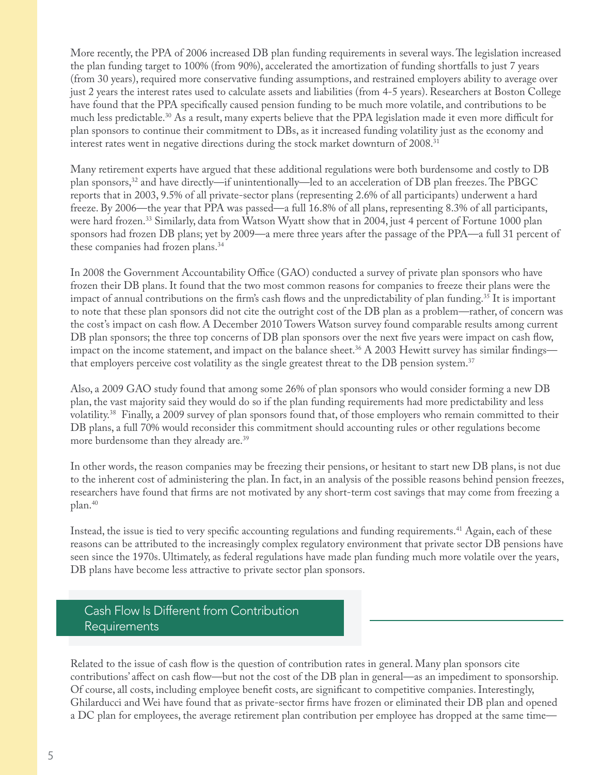More recently, the PPA of 2006 increased DB plan funding requirements in several ways. The legislation increased the plan funding target to 100% (from 90%), accelerated the amortization of funding shortfalls to just 7 years (from 30 years), required more conservative funding assumptions, and restrained employers ability to average over just 2 years the interest rates used to calculate assets and liabilities (from 4-5 years). Researchers at Boston College have found that the PPA specifically caused pension funding to be much more volatile, and contributions to be much less predictable.<sup>[30](#page-11-29)</sup> As a result, many experts believe that the PPA legislation made it even more difficult for plan sponsors to continue their commitment to DBs, as it increased funding volatility just as the economy and interest rates went in negative directions during the stock market downturn of 2008.[31](#page-12-0)

Many retirement experts have argued that these additional regulations were both burdensome and costly to DB plan sponsors,<sup>32</sup> and have directly—if unintentionally—led to an acceleration of DB plan freezes. The PBGC reports that in 2003, 9.5% of all private-sector plans (representing 2.6% of all participants) underwent a hard freeze. By 2006—the year that PPA was passed—a full 16.8% of all plans, representing 8.3% of all participants, were hard frozen.<sup>[33](#page-12-2)</sup> Similarly, data from Watson Wyatt show that in 2004, just 4 percent of Fortune 1000 plan sponsors had frozen DB plans; yet by 2009—a mere three years after the passage of the PPA—a full 31 percent of these companies had frozen plans.[34](#page-12-3)

In 2008 the Government Accountability Office (GAO) conducted a survey of private plan sponsors who have frozen their DB plans. It found that the two most common reasons for companies to freeze their plans were the impact of annual contributions on the firm's cash flows and the unpredictability of plan funding[.35](#page-12-4) It is important to note that these plan sponsors did not cite the outright cost of the DB plan as a problem—rather, of concern was the cost's impact on cash flow. A December 2010 Towers Watson survey found comparable results among current DB plan sponsors; the three top concerns of DB plan sponsors over the next five years were impact on cash flow, impact on the income statement, and impact on the balance sheet.<sup>36</sup> A 2003 Hewitt survey has similar findings that employers perceive cost volatility as the single greatest threat to the DB pension system.[37](#page-12-6)

Also, a 2009 GAO study found that among some 26% of plan sponsors who would consider forming a new DB plan, the vast majority said they would do so if the plan funding requirements had more predictability and less volatility[.38](#page-12-7) Finally, a 2009 survey of plan sponsors found that, of those employers who remain committed to their DB plans, a full 70% would reconsider this commitment should accounting rules or other regulations become more burdensome than they already are[.39](#page-12-8)

In other words, the reason companies may be freezing their pensions, or hesitant to start new DB plans, is not due to the inherent cost of administering the plan. In fact, in an analysis of the possible reasons behind pension freezes, researchers have found that firms are not motivated by any short-term cost savings that may come from freezing a plan.[40](#page-12-9)

Instead, the issue is tied to very specific accounting regulations and funding requirements.<sup>41</sup> Again, each of these reasons can be attributed to the increasingly complex regulatory environment that private sector DB pensions have seen since the 1970s. Ultimately, as federal regulations have made plan funding much more volatile over the years, DB plans have become less attractive to private sector plan sponsors.

# Cash Flow Is Different from Contribution Requirements

Related to the issue of cash flow is the question of contribution rates in general. Many plan sponsors cite contributions' affect on cash flow—but not the cost of the DB plan in general—as an impediment to sponsorship. Of course, all costs, including employee benefit costs, are significant to competitive companies. Interestingly, Ghilarducci and Wei have found that as private-sector firms have frozen or eliminated their DB plan and opened a DC plan for employees, the average retirement plan contribution per employee has dropped at the same time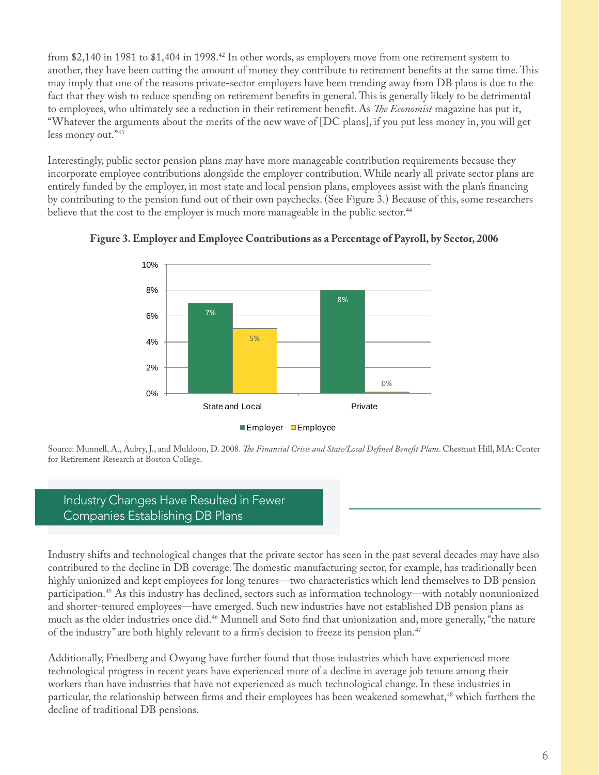from \$2,140 in 1981 to \$1,404 in 1998.<sup>42</sup> In other words, as employers move from one retirement system to another, they have been cutting the amount of money they contribute to retirement benefits at the same time. This may imply that one of the reasons private-sector employers have been trending away from DB plans is due to the fact that they wish to reduce spending on retirement benefits in general. This is generally likely to be detrimental to employees, who ultimately see a reduction in their retirement benefit. As *The Economist* magazine has put it, "Whatever the arguments about the merits of the new wave of [DC plans], if you put less money in, you will get less money out."[43](#page-12-12)

Interestingly, public sector pension plans may have more manageable contribution requirements because they incorporate employee contributions alongside the employer contribution. While nearly all private sector plans are entirely funded by the employer, in most state and local pension plans, employees assist with the plan's financing by contributing to the pension fund out of their own paychecks. (See Figure 3.) Because of this, some researchers believe that the cost to the employer is much more manageable in the public sector.<sup>[44](#page-12-13)</sup>



**Figure 3. Employer and Employee Contributions as a Percentage of Payroll, by Sector, 2006**

Source: Munnell, A., Aubry, J., and Muldoon, D. 2008. *The Financial Crisis and State/Local Defined Benefit Plans*. Chestnut Hill, MA: Center for Retirement Research at Boston College.

# Industry Changes Have Resulted in Fewer Companies Establishing DB Plans

Industry shifts and technological changes that the private sector has seen in the past several decades may have also contributed to the decline in DB coverage. The domestic manufacturing sector, for example, has traditionally been highly unionized and kept employees for long tenures—two characteristics which lend themselves to DB pension participation.[45](#page-12-14) As this industry has declined, sectors such as information technology—with notably nonunionized and shorter-tenured employees—have emerged. Such new industries have not established DB pension plans as much as the older industries once did[.46](#page-12-15) Munnell and Soto find that unionization and, more generally, "the nature of the industry" are both highly relevant to a firm's decision to freeze its pension plan[.47](#page-12-16)

Additionally, Friedberg and Owyang have further found that those industries which have experienced more technological progress in recent years have experienced more of a decline in average job tenure among their workers than have industries that have not experienced as much technological change. In these industries in particular, the relationship between firms and their employees has been weakened somewhat,<sup>[48](#page-12-17)</sup> which furthers the decline of traditional DB pensions.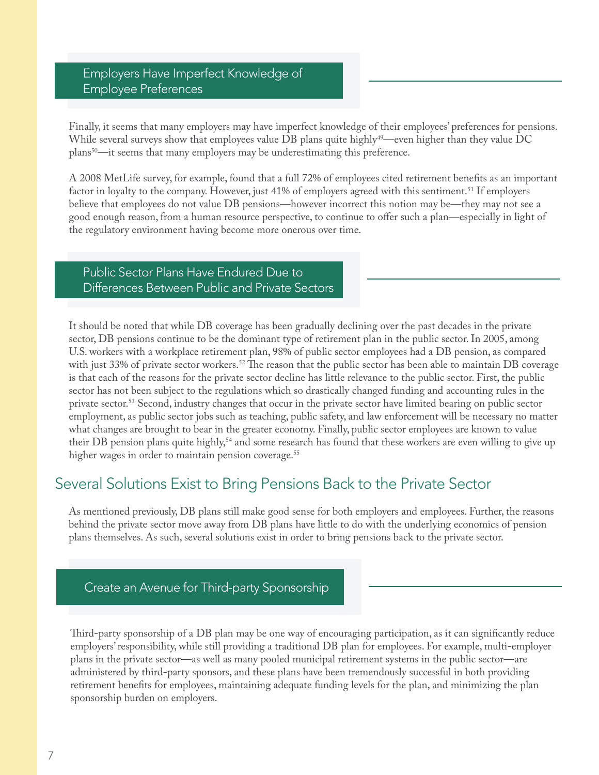# Employers Have Imperfect Knowledge of Employee Preferences

Finally, it seems that many employers may have imperfect knowledge of their employees' preferences for pensions. While several surveys show that employees value DB plans quite highly<sup>[49](#page-12-18)</sup>—even higher than they value DC plans<sup>50</sup>—it seems that many employers may be underestimating this preference.

A 2008 MetLife survey, for example, found that a full 72% of employees cited retirement benefits as an important factor in loyalty to the company. However, just 41% of employers agreed with this sentiment.<sup>[51](#page-12-20)</sup> If employers believe that employees do not value DB pensions—however incorrect this notion may be—they may not see a good enough reason, from a human resource perspective, to continue to offer such a plan—especially in light of the regulatory environment having become more onerous over time.

# Public Sector Plans Have Endured Due to Differences Between Public and Private Sectors

It should be noted that while DB coverage has been gradually declining over the past decades in the private sector, DB pensions continue to be the dominant type of retirement plan in the public sector. In 2005, among U.S. workers with a workplace retirement plan, 98% of public sector employees had a DB pension, as compared with just 33% of private sector workers.<sup>52</sup> The reason that the public sector has been able to maintain DB coverage is that each of the reasons for the private sector decline has little relevance to the public sector. First, the public sector has not been subject to the regulations which so drastically changed funding and accounting rules in the private sector.<sup>53</sup> Second, industry changes that occur in the private sector have limited bearing on public sector employment, as public sector jobs such as teaching, public safety, and law enforcement will be necessary no matter what changes are brought to bear in the greater economy. Finally, public sector employees are known to value their DB pension plans quite highly,<sup>[54](#page-12-23)</sup> and some research has found that these workers are even willing to give up higher wages in order to maintain pension coverage.<sup>55</sup>

# Several Solutions Exist to Bring Pensions Back to the Private Sector

As mentioned previously, DB plans still make good sense for both employers and employees. Further, the reasons behind the private sector move away from DB plans have little to do with the underlying economics of pension plans themselves. As such, several solutions exist in order to bring pensions back to the private sector.

### Create an Avenue for Third-party Sponsorship

Third-party sponsorship of a DB plan may be one way of encouraging participation, as it can significantly reduce employers' responsibility, while still providing a traditional DB plan for employees. For example, multi-employer plans in the private sector—as well as many pooled municipal retirement systems in the public sector—are administered by third-party sponsors, and these plans have been tremendously successful in both providing retirement benefits for employees, maintaining adequate funding levels for the plan, and minimizing the plan sponsorship burden on employers.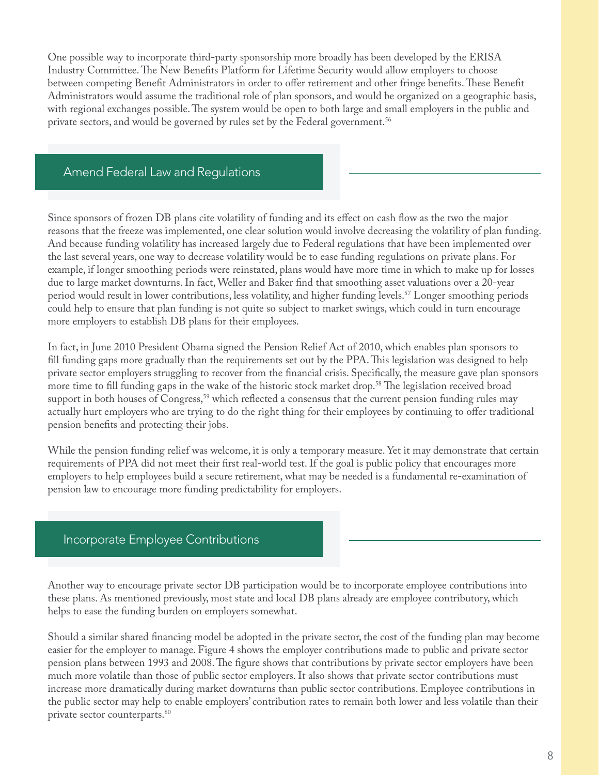One possible way to incorporate third-party sponsorship more broadly has been developed by the ERISA Industry Committee. The New Benefits Platform for Lifetime Security would allow employers to choose between competing Benefit Administrators in order to offer retirement and other fringe benefits. These Benefit Administrators would assume the traditional role of plan sponsors, and would be organized on a geographic basis, with regional exchanges possible. The system would be open to both large and small employers in the public and private sectors, and would be governed by rules set by the Federal government.<sup>[56](#page-12-25)</sup>

# Amend Federal Law and Regulations

Since sponsors of frozen DB plans cite volatility of funding and its effect on cash flow as the two the major reasons that the freeze was implemented, one clear solution would involve decreasing the volatility of plan funding. And because funding volatility has increased largely due to Federal regulations that have been implemented over the last several years, one way to decrease volatility would be to ease funding regulations on private plans. For example, if longer smoothing periods were reinstated, plans would have more time in which to make up for losses due to large market downturns. In fact, Weller and Baker find that smoothing asset valuations over a 20-year period would result in lower contributions, less volatility, and higher funding levels.<sup>[57](#page-12-26)</sup> Longer smoothing periods could help to ensure that plan funding is not quite so subject to market swings, which could in turn encourage more employers to establish DB plans for their employees.

In fact, in June 2010 President Obama signed the Pension Relief Act of 2010, which enables plan sponsors to fill funding gaps more gradually than the requirements set out by the PPA. This legislation was designed to help private sector employers struggling to recover from the financial crisis. Specifically, the measure gave plan sponsors more time to fill funding gaps in the wake of the historic stock market drop.<sup>[58](#page-12-27)</sup> The legislation received broad support in both houses of Congress,<sup>[59](#page-12-28)</sup> which reflected a consensus that the current pension funding rules may actually hurt employers who are trying to do the right thing for their employees by continuing to offer traditional pension benefits and protecting their jobs.

While the pension funding relief was welcome, it is only a temporary measure. Yet it may demonstrate that certain requirements of PPA did not meet their first real-world test. If the goal is public policy that encourages more employers to help employees build a secure retirement, what may be needed is a fundamental re-examination of pension law to encourage more funding predictability for employers.

### Incorporate Employee Contributions

Another way to encourage private sector DB participation would be to incorporate employee contributions into these plans. As mentioned previously, most state and local DB plans already are employee contributory, which helps to ease the funding burden on employers somewhat.

Should a similar shared financing model be adopted in the private sector, the cost of the funding plan may become easier for the employer to manage. Figure 4 shows the employer contributions made to public and private sector pension plans between 1993 and 2008. The figure shows that contributions by private sector employers have been much more volatile than those of public sector employers. It also shows that private sector contributions must increase more dramatically during market downturns than public sector contributions. Employee contributions in the public sector may help to enable employers' contribution rates to remain both lower and less volatile than their private sector counterparts.<sup>60</sup>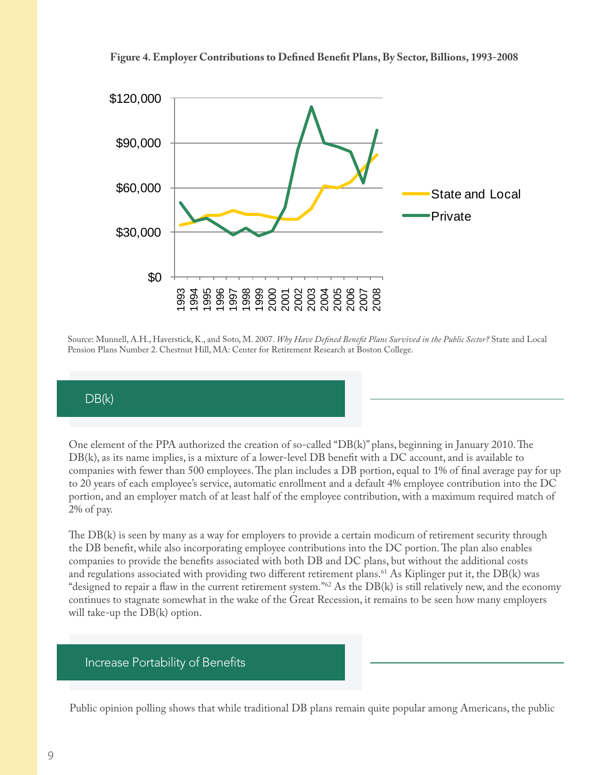



Source: Munnell, A.H., Haverstick, K., and Soto, M. 2007. *Why Have Defined Benefit Plans Survived in the Public Sector?* State and Local Pension Plans Number 2. Chestnut Hill, MA: Center for Retirement Research at Boston College.

### DB(k)

One element of the PPA authorized the creation of so-called "DB(k)" plans, beginning in January 2010. The DB(k), as its name implies, is a mixture of a lower-level DB benefit with a DC account, and is available to companies with fewer than 500 employees. The plan includes a DB portion, equal to 1% of final average pay for up to 20 years of each employee's service, automatic enrollment and a default 4% employee contribution into the DC portion, and an employer match of at least half of the employee contribution, with a maximum required match of 2% of pay.

The DB(k) is seen by many as a way for employers to provide a certain modicum of retirement security through the DB benefit, while also incorporating employee contributions into the DC portion. The plan also enables companies to provide the benefits associated with both DB and DC plans, but without the additional costs and regulations associated with providing two different retirement plans.<sup>61</sup> As Kiplinger put it, the  $DB(k)$  was "designed to repair a flaw in the current retirement system.["62](#page-12-31) As the DB(k) is still relatively new, and the economy continues to stagnate somewhat in the wake of the Great Recession, it remains to be seen how many employers will take-up the DB(k) option.

#### Increase Portability of Benefits

Public opinion polling shows that while traditional DB plans remain quite popular among Americans, the public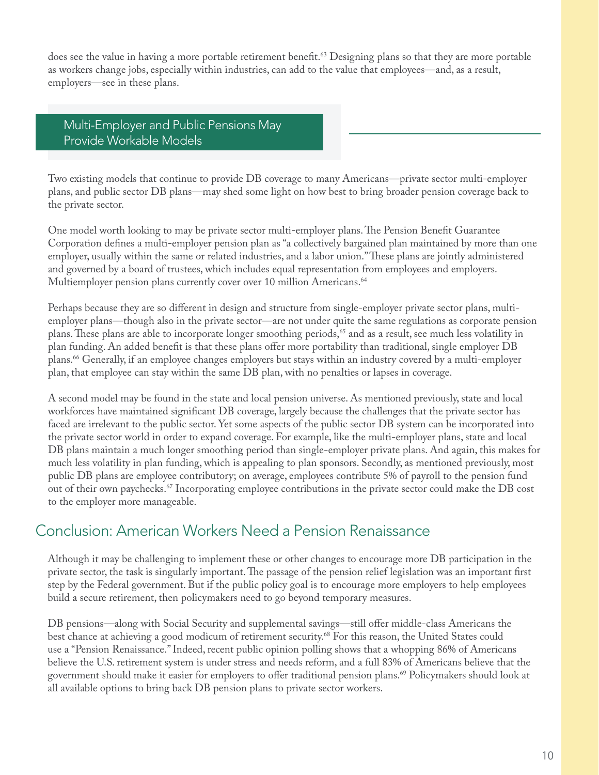does see the value in having a more portable retirement benefit.<sup>[63](#page-12-32)</sup> Designing plans so that they are more portable as workers change jobs, especially within industries, can add to the value that employees—and, as a result, employers—see in these plans.

Multi-Employer and Public Pensions May Provide Workable Models

Two existing models that continue to provide DB coverage to many Americans—private sector multi-employer plans, and public sector DB plans—may shed some light on how best to bring broader pension coverage back to the private sector.

One model worth looking to may be private sector multi-employer plans. The Pension Benefit Guarantee Corporation defines a multi-employer pension plan as "a collectively bargained plan maintained by more than one employer, usually within the same or related industries, and a labor union." These plans are jointly administered and governed by a board of trustees, which includes equal representation from employees and employers. Multiemployer pension plans currently cover over 10 million Americans.<sup>[64](#page-12-33)</sup>

Perhaps because they are so different in design and structure from single-employer private sector plans, multiemployer plans—though also in the private sector—are not under quite the same regulations as corporate pension plans. These plans are able to incorporate longer smoothing periods,<sup>65</sup> and as a result, see much less volatility in plan funding. An added benefit is that these plans offer more portability than traditional, single employer DB plans.[66](#page-12-35) Generally, if an employee changes employers but stays within an industry covered by a multi-employer plan, that employee can stay within the same DB plan, with no penalties or lapses in coverage.

A second model may be found in the state and local pension universe. As mentioned previously, state and local workforces have maintained significant DB coverage, largely because the challenges that the private sector has faced are irrelevant to the public sector. Yet some aspects of the public sector DB system can be incorporated into the private sector world in order to expand coverage. For example, like the multi-employer plans, state and local DB plans maintain a much longer smoothing period than single-employer private plans. And again, this makes for much less volatility in plan funding, which is appealing to plan sponsors. Secondly, as mentioned previously, most public DB plans are employee contributory; on average, employees contribute 5% of payroll to the pension fund out of their own paychecks.<sup>67</sup> Incorporating employee contributions in the private sector could make the DB cost to the employer more manageable.

# Conclusion: American Workers Need a Pension Renaissance

Although it may be challenging to implement these or other changes to encourage more DB participation in the private sector, the task is singularly important. The passage of the pension relief legislation was an important first step by the Federal government. But if the public policy goal is to encourage more employers to help employees build a secure retirement, then policymakers need to go beyond temporary measures.

DB pensions—along with Social Security and supplemental savings—still offer middle-class Americans the best chance at achieving a good modicum of retirement security.<sup>68</sup> For this reason, the United States could use a "Pension Renaissance." Indeed, recent public opinion polling shows that a whopping 86% of Americans believe the U.S. retirement system is under stress and needs reform, and a full 83% of Americans believe that the government should make it easier for employers to offer traditional pension plans.[69](#page-12-38) Policymakers should look at all available options to bring back DB pension plans to private sector workers.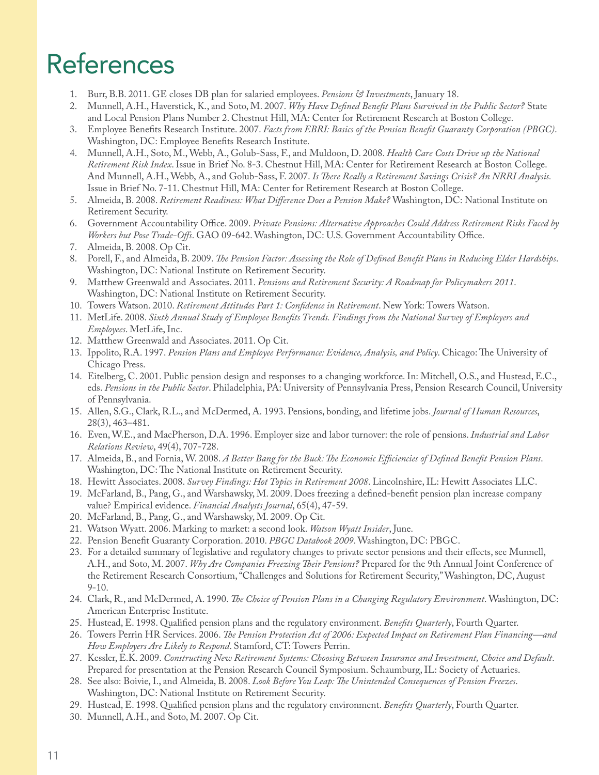# **References**

- <span id="page-11-0"></span>1. Burr, B.B. 2011. GE closes DB plan for salaried employees. *Pensions & Investments*, January 18.
- <span id="page-11-1"></span>2. Munnell, A.H., Haverstick, K., and Soto, M. 2007. *Why Have Defined Benefit Plans Survived in the Public Sector?* State and Local Pension Plans Number 2. Chestnut Hill, MA: Center for Retirement Research at Boston College.
- <span id="page-11-2"></span>3. Employee Benefits Research Institute. 2007. *Facts from EBRI: Basics of the Pension Benefit Guaranty Corporation (PBGC)*. Washington, DC: Employee Benefits Research Institute.
- <span id="page-11-3"></span>4. Munnell, A.H., Soto, M., Webb, A., Golub-Sass, F., and Muldoon, D. 2008. *Health Care Costs Drive up the National Retirement Risk Index*. Issue in Brief No. 8-3. Chestnut Hill, MA: Center for Retirement Research at Boston College. And Munnell, A.H., Webb, A., and Golub-Sass, F. 2007. *Is There Really a Retirement Savings Crisis? An NRRI Analysis.* Issue in Brief No. 7-11. Chestnut Hill, MA: Center for Retirement Research at Boston College.
- <span id="page-11-4"></span>5. Almeida, B. 2008. *Retirement Readiness: What Difference Does a Pension Make?* Washington, DC: National Institute on Retirement Security.
- <span id="page-11-5"></span>6. Government Accountability Office. 2009. *Private Pensions: Alternative Approaches Could Address Retirement Risks Faced by Workers but Pose Trade-Offs*. GAO 09-642. Washington, DC: U.S. Government Accountability Office.
- <span id="page-11-6"></span>7. Almeida, B. 2008. Op Cit.
- <span id="page-11-7"></span>8. Porell, F., and Almeida, B. 2009. *The Pension Factor: Assessing the Role of Defined Benefit Plans in Reducing Elder Hardships*. Washington, DC: National Institute on Retirement Security.
- <span id="page-11-8"></span>9. Matthew Greenwald and Associates. 2011. *Pensions and Retirement Security: A Roadmap for Policymakers 2011*. Washington, DC: National Institute on Retirement Security.
- <span id="page-11-9"></span>10. Towers Watson. 2010. *Retirement Attitudes Part 1: Confidence in Retirement*. New York: Towers Watson.
- <span id="page-11-10"></span>11. MetLife. 2008. *Sixth Annual Study of Employee Benefits Trends. Findings from the National Survey of Employers and Employees*. MetLife, Inc.
- <span id="page-11-11"></span>12. Matthew Greenwald and Associates. 2011. Op Cit.
- <span id="page-11-12"></span>13. Ippolito, R.A. 1997. *Pension Plans and Employee Performance: Evidence, Analysis, and Policy*. Chicago: The University of Chicago Press.
- <span id="page-11-13"></span>14. Eitelberg, C. 2001. Public pension design and responses to a changing workforce. In: Mitchell, O.S., and Hustead, E.C., eds. *Pensions in the Public Sector*. Philadelphia, PA: University of Pennsylvania Press, Pension Research Council, University of Pennsylvania.
- <span id="page-11-14"></span>15. Allen, S.G., Clark, R.L., and McDermed, A. 1993. Pensions, bonding, and lifetime jobs. *Journal of Human Resources*, 28(3), 463–481.
- <span id="page-11-15"></span>16. Even, W.E., and MacPherson, D.A. 1996. Employer size and labor turnover: the role of pensions. *Industrial and Labor Relations Review*, 49(4), 707-728.
- <span id="page-11-16"></span>17. Almeida, B., and Fornia, W. 2008. *A Better Bang for the Buck: The Economic Efficiencies of Defined Benefit Pension Plans*. Washington, DC: The National Institute on Retirement Security.
- <span id="page-11-17"></span>18. Hewitt Associates. 2008. *Survey Findings: Hot Topics in Retirement 2008*. Lincolnshire, IL: Hewitt Associates LLC.
- <span id="page-11-18"></span>19. McFarland, B., Pang, G., and Warshawsky, M. 2009. Does freezing a defined-benefit pension plan increase company value? Empirical evidence. *Financial Analysts Journal*, 65(4), 47-59.
- <span id="page-11-19"></span>20. McFarland, B., Pang, G., and Warshawsky, M. 2009. Op Cit.
- <span id="page-11-20"></span>21. Watson Wyatt. 2006. Marking to market: a second look. *Watson Wyatt Insider*, June.
- <span id="page-11-21"></span>22. Pension Benefit Guaranty Corporation. 2010. *PBGC Databook 2009*. Washington, DC: PBGC.
- <span id="page-11-22"></span>23. For a detailed summary of legislative and regulatory changes to private sector pensions and their effects, see Munnell, A.H., and Soto, M. 2007. *Why Are Companies Freezing Their Pensions?* Prepared for the 9th Annual Joint Conference of the Retirement Research Consortium, "Challenges and Solutions for Retirement Security," Washington, DC, August 9-10.
- <span id="page-11-23"></span>24. Clark, R., and McDermed, A. 1990. *The Choice of Pension Plans in a Changing Regulatory Environment*. Washington, DC: American Enterprise Institute.
- <span id="page-11-24"></span>25. Hustead, E. 1998. Qualified pension plans and the regulatory environment. *Benefits Quarterly*, Fourth Quarter.
- <span id="page-11-25"></span>26. Towers Perrin HR Services. 2006. *The Pension Protection Act of 2006: Expected Impact on Retirement Plan Financing—and How Employers Are Likely to Respond*. Stamford, CT: Towers Perrin.
- <span id="page-11-26"></span>27. Kessler, E.K. 2009. *Constructing New Retirement Systems: Choosing Between Insurance and Investment, Choice and Default*. Prepared for presentation at the Pension Research Council Symposium. Schaumburg, IL: Society of Actuaries.
- <span id="page-11-27"></span>28. See also: Boivie, I., and Almeida, B. 2008. *Look Before You Leap: The Unintended Consequences of Pension Freezes*. Washington, DC: National Institute on Retirement Security.
- <span id="page-11-28"></span>29. Hustead, E. 1998. Qualified pension plans and the regulatory environment. *Benefits Quarterly*, Fourth Quarter.
- <span id="page-11-29"></span>30. Munnell, A.H., and Soto, M. 2007. Op Cit.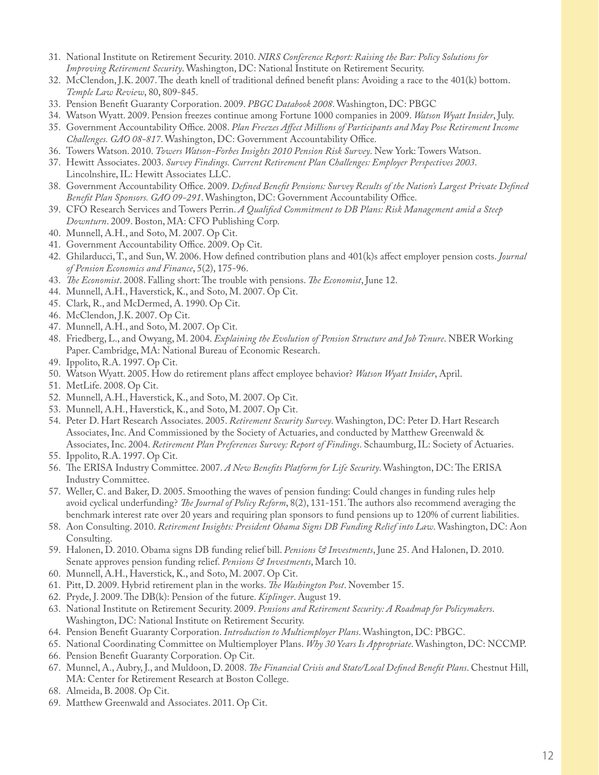- <span id="page-12-0"></span>31. National Institute on Retirement Security. 2010. *NIRS Conference Report: Raising the Bar: Policy Solutions for Improving Retirement Security*. Washington, DC: National Institute on Retirement Security.
- <span id="page-12-1"></span>32. McClendon, J.K. 2007. The death knell of traditional defined benefit plans: Avoiding a race to the 401(k) bottom. *Temple Law Review*, 80, 809-845.
- <span id="page-12-2"></span>33. Pension Benefit Guaranty Corporation. 2009. *PBGC Databook 2008*. Washington, DC: PBGC
- <span id="page-12-3"></span>34. Watson Wyatt. 2009. Pension freezes continue among Fortune 1000 companies in 2009. *Watson Wyatt Insider*, July.
- <span id="page-12-4"></span>35. Government Accountability Office. 2008. *Plan Freezes Affect Millions of Participants and May Pose Retirement Income Challenges. GAO 08-817*. Washington, DC: Government Accountability Office.
- <span id="page-12-5"></span>36. Towers Watson. 2010. *Towers Watson-Forbes Insights 2010 Pension Risk Survey*. New York: Towers Watson.
- <span id="page-12-6"></span>37. Hewitt Associates. 2003. *Survey Findings. Current Retirement Plan Challenges: Employer Perspectives 2003*. Lincolnshire, IL: Hewitt Associates LLC.
- <span id="page-12-7"></span>38. Government Accountability Office. 2009. *Defined Benefit Pensions: Survey Results of the Nation's Largest Private Defined Benefit Plan Sponsors. GAO 09-291*. Washington, DC: Government Accountability Office.
- <span id="page-12-8"></span>39. CFO Research Services and Towers Perrin. *A Qualified Commitment to DB Plans: Risk Management amid a Steep Downturn*. 2009. Boston, MA: CFO Publishing Corp.
- <span id="page-12-9"></span>40. Munnell, A.H., and Soto, M. 2007. Op Cit.
- <span id="page-12-10"></span>41. Government Accountability Office. 2009. Op Cit.
- <span id="page-12-11"></span>42. Ghilarducci, T., and Sun, W. 2006. How defined contribution plans and 401(k)s affect employer pension costs. *Journal of Pension Economics and Finance*, 5(2), 175-96.
- <span id="page-12-12"></span>43. *The Economist*. 2008. Falling short: The trouble with pensions. *The Economist*, June 12.
- <span id="page-12-13"></span>44. Munnell, A.H., Haverstick, K., and Soto, M. 2007. Op Cit.
- <span id="page-12-14"></span>45. Clark, R., and McDermed, A. 1990. Op Cit.
- <span id="page-12-15"></span>46. McClendon, J.K. 2007. Op Cit.
- <span id="page-12-16"></span>47. Munnell, A.H., and Soto, M. 2007. Op Cit.
- <span id="page-12-17"></span>48. Friedberg, L., and Owyang, M. 2004. *Explaining the Evolution of Pension Structure and Job Tenure*. NBER Working Paper. Cambridge, MA: National Bureau of Economic Research.
- <span id="page-12-18"></span>49. Ippolito, R.A. 1997. Op Cit.
- <span id="page-12-19"></span>50. Watson Wyatt. 2005. How do retirement plans affect employee behavior? *Watson Wyatt Insider*, April.
- <span id="page-12-20"></span>51. MetLife. 2008. Op Cit.
- <span id="page-12-21"></span>52. Munnell, A.H., Haverstick, K., and Soto, M. 2007. Op Cit.
- <span id="page-12-22"></span>53. Munnell, A.H., Haverstick, K., and Soto, M. 2007. Op Cit.
- <span id="page-12-23"></span>54. Peter D. Hart Research Associates. 2005. *Retirement Security Survey*. Washington, DC: Peter D. Hart Research Associates, Inc. And Commissioned by the Society of Actuaries, and conducted by Matthew Greenwald & Associates, Inc. 2004. *Retirement Plan Preferences Survey: Report of Findings*. Schaumburg, IL: Society of Actuaries.
- <span id="page-12-24"></span>55. Ippolito, R.A. 1997. Op Cit.
- <span id="page-12-25"></span>56. The ERISA Industry Committee. 2007. *A New Benefits Platform for Life Security*. Washington, DC: The ERISA Industry Committee.
- <span id="page-12-26"></span>57. Weller, C. and Baker, D. 2005. Smoothing the waves of pension funding: Could changes in funding rules help avoid cyclical underfunding? *The Journal of Policy Reform*, 8(2), 131-151. The authors also recommend averaging the benchmark interest rate over 20 years and requiring plan sponsors to fund pensions up to 120% of current liabilities.
- <span id="page-12-27"></span>58. Aon Consulting. 2010. *Retirement Insights: President Obama Signs DB Funding Relief into Law*. Washington, DC: Aon Consulting.
- <span id="page-12-28"></span>59. Halonen, D. 2010. Obama signs DB funding relief bill. *Pensions & Investments*, June 25. And Halonen, D. 2010. Senate approves pension funding relief. *Pensions & Investments*, March 10.
- <span id="page-12-29"></span>60. Munnell, A.H., Haverstick, K., and Soto, M. 2007. Op Cit.
- <span id="page-12-30"></span>61. Pitt, D. 2009. Hybrid retirement plan in the works. *The Washington Post*. November 15.
- <span id="page-12-31"></span>62. Pryde, J. 2009. The DB(k): Pension of the future. *Kiplinger*. August 19.
- <span id="page-12-32"></span>63. National Institute on Retirement Security. 2009. *Pensions and Retirement Security: A Roadmap for Policymakers*. Washington, DC: National Institute on Retirement Security.
- <span id="page-12-33"></span>64. Pension Benefit Guaranty Corporation. *Introduction to Multiemployer Plans*. Washington, DC: PBGC.
- <span id="page-12-34"></span>65. National Coordinating Committee on Multiemployer Plans. *Why 30 Years Is Appropriate*. Washington, DC: NCCMP.
- <span id="page-12-35"></span>66. Pension Benefit Guaranty Corporation. Op Cit.
- <span id="page-12-36"></span>67. Munnel, A., Aubry, J., and Muldoon, D. 2008. *The Financial Crisis and State/Local Defined Benefit Plans*. Chestnut Hill, MA: Center for Retirement Research at Boston College.
- <span id="page-12-37"></span>68. Almeida, B. 2008. Op Cit.
- <span id="page-12-38"></span>69. Matthew Greenwald and Associates. 2011. Op Cit.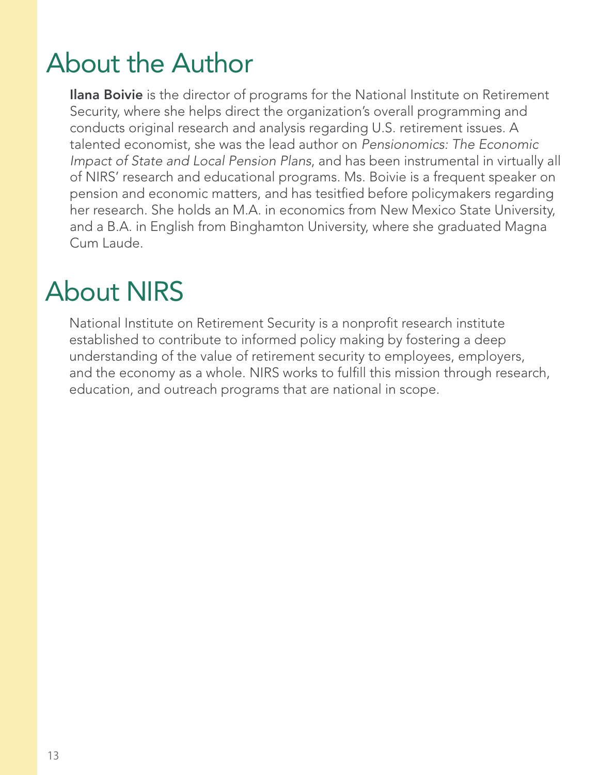# About the Author

**Ilana Boivie** is the director of programs for the National Institute on Retirement Security, where she helps direct the organization's overall programming and conducts original research and analysis regarding U.S. retirement issues. A talented economist, she was the lead author on *Pensionomics: The Economic Impact of State and Local Pension Plans*, and has been instrumental in virtually all of NIRS' research and educational programs. Ms. Boivie is a frequent speaker on pension and economic matters, and has tesitfied before policymakers regarding her research. She holds an M.A. in economics from New Mexico State University, and a B.A. in English from Binghamton University, where she graduated Magna Cum Laude.

# About NIRS

National Institute on Retirement Security is a nonprofit research institute established to contribute to informed policy making by fostering a deep understanding of the value of retirement security to employees, employers, and the economy as a whole. NIRS works to fulfill this mission through research, education, and outreach programs that are national in scope.